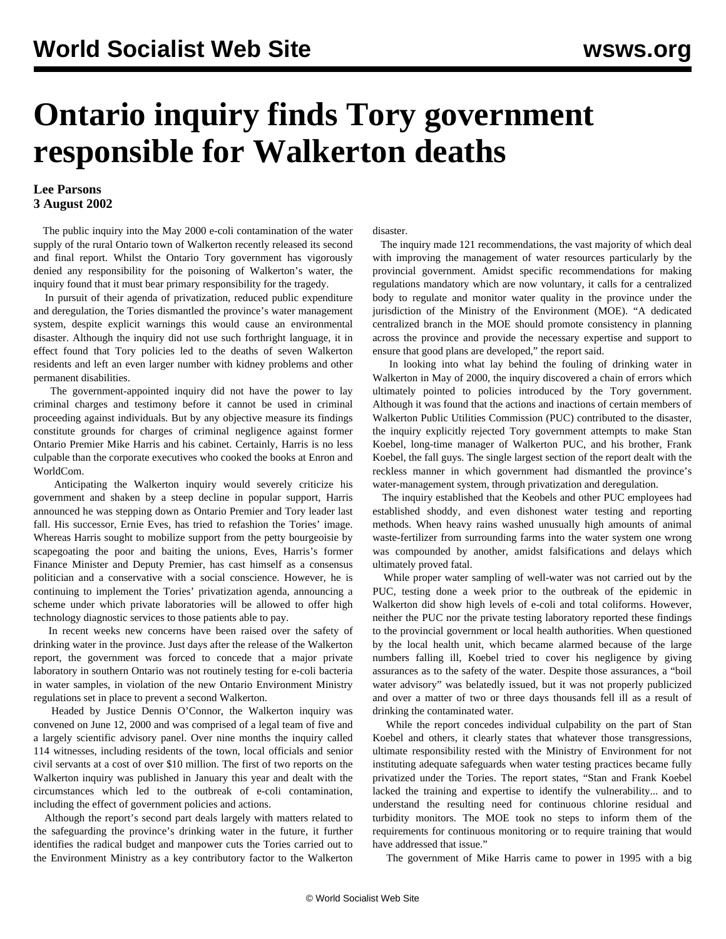## **Ontario inquiry finds Tory government responsible for Walkerton deaths**

## **Lee Parsons 3 August 2002**

 The public inquiry into the May 2000 e-coli contamination of the water supply of the rural Ontario town of Walkerton recently released its second and final report. Whilst the Ontario Tory government has vigorously denied any responsibility for the poisoning of Walkerton's water, the inquiry found that it must bear primary responsibility for the tragedy.

 In pursuit of their agenda of privatization, reduced public expenditure and deregulation, the Tories dismantled the province's water management system, despite explicit warnings this would cause an environmental disaster. Although the inquiry did not use such forthright language, it in effect found that Tory policies led to the deaths of seven Walkerton residents and left an even larger number with kidney problems and other permanent disabilities.

 The government-appointed inquiry did not have the power to lay criminal charges and testimony before it cannot be used in criminal proceeding against individuals. But by any objective measure its findings constitute grounds for charges of criminal negligence against former Ontario Premier Mike Harris and his cabinet. Certainly, Harris is no less culpable than the corporate executives who cooked the books at Enron and WorldCom.

 Anticipating the Walkerton inquiry would severely criticize his government and shaken by a steep decline in popular support, Harris announced he was stepping down as Ontario Premier and Tory leader last fall. His successor, Ernie Eves, has tried to refashion the Tories' image. Whereas Harris sought to mobilize support from the petty bourgeoisie by scapegoating the poor and baiting the unions, Eves, Harris's former Finance Minister and Deputy Premier, has cast himself as a consensus politician and a conservative with a social conscience. However, he is continuing to implement the Tories' privatization agenda, announcing a scheme under which private laboratories will be allowed to offer high technology diagnostic services to those patients able to pay.

 In recent weeks new concerns have been raised over the safety of drinking water in the province. Just days after the release of the Walkerton report, the government was forced to concede that a major private laboratory in southern Ontario was not routinely testing for e-coli bacteria in water samples, in violation of the new Ontario Environment Ministry regulations set in place to prevent a second Walkerton.

 Headed by Justice Dennis O'Connor, the Walkerton inquiry was convened on June 12, 2000 and was comprised of a legal team of five and a largely scientific advisory panel. Over nine months the inquiry called 114 witnesses, including residents of the town, local officials and senior civil servants at a cost of over \$10 million. The first of two reports on the Walkerton inquiry was published in January this year and dealt with the circumstances which led to the outbreak of e-coli contamination, including the effect of government policies and actions.

 Although the report's second part deals largely with matters related to the safeguarding the province's drinking water in the future, it further identifies the radical budget and manpower cuts the Tories carried out to the Environment Ministry as a key contributory factor to the Walkerton

disaster.

 The inquiry made 121 recommendations, the vast majority of which deal with improving the management of water resources particularly by the provincial government. Amidst specific recommendations for making regulations mandatory which are now voluntary, it calls for a centralized body to regulate and monitor water quality in the province under the jurisdiction of the Ministry of the Environment (MOE). "A dedicated centralized branch in the MOE should promote consistency in planning across the province and provide the necessary expertise and support to ensure that good plans are developed," the report said.

 In looking into what lay behind the fouling of drinking water in Walkerton in May of 2000, the inquiry discovered a chain of errors which ultimately pointed to policies introduced by the Tory government. Although it was found that the actions and inactions of certain members of Walkerton Public Utilities Commission (PUC) contributed to the disaster, the inquiry explicitly rejected Tory government attempts to make Stan Koebel, long-time manager of Walkerton PUC, and his brother, Frank Koebel, the fall guys. The single largest section of the report dealt with the reckless manner in which government had dismantled the province's water-management system, through privatization and deregulation.

 The inquiry established that the Keobels and other PUC employees had established shoddy, and even dishonest water testing and reporting methods. When heavy rains washed unusually high amounts of animal waste-fertilizer from surrounding farms into the water system one wrong was compounded by another, amidst falsifications and delays which ultimately proved fatal.

 While proper water sampling of well-water was not carried out by the PUC, testing done a week prior to the outbreak of the epidemic in Walkerton did show high levels of e-coli and total coliforms. However, neither the PUC nor the private testing laboratory reported these findings to the provincial government or local health authorities. When questioned by the local health unit, which became alarmed because of the large numbers falling ill, Koebel tried to cover his negligence by giving assurances as to the safety of the water. Despite those assurances, a "boil water advisory" was belatedly issued, but it was not properly publicized and over a matter of two or three days thousands fell ill as a result of drinking the contaminated water.

 While the report concedes individual culpability on the part of Stan Koebel and others, it clearly states that whatever those transgressions, ultimate responsibility rested with the Ministry of Environment for not instituting adequate safeguards when water testing practices became fully privatized under the Tories. The report states, "Stan and Frank Koebel lacked the training and expertise to identify the vulnerability... and to understand the resulting need for continuous chlorine residual and turbidity monitors. The MOE took no steps to inform them of the requirements for continuous monitoring or to require training that would have addressed that issue."

The government of Mike Harris came to power in 1995 with a big